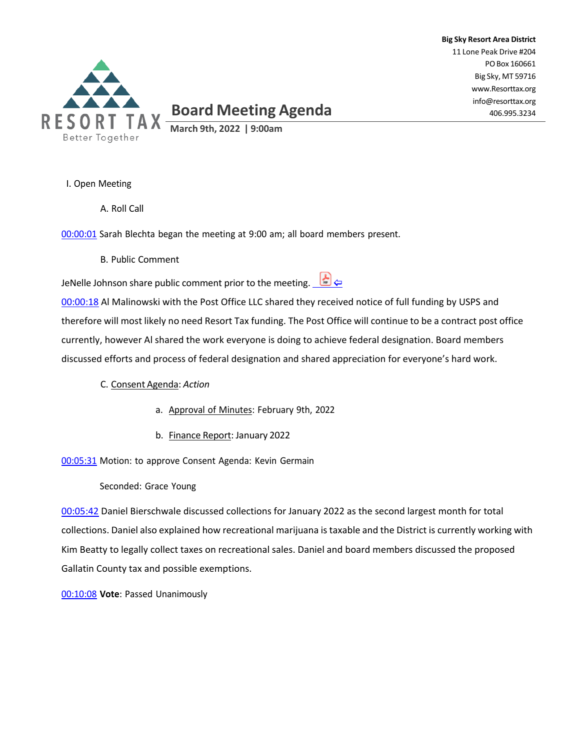

# **Board Meeting Agenda**

**Big Sky Resort Area District** 11 Lone Peak Drive #204 POBox 160661 Big Sky, MT 59716 [www.Resorttax.org](http://www.resorttax.org/) [info@resorttax.org](mailto:info@resorttax.org) 406.995.3234

**March 9th, 2022 | 9:00am**

I. Open Meeting

A. Roll Call

00:00:01 Sarah Blechta began the meeting at 9:00 am; all board members present.

B. Public Comment

| JeNelle Johnson share public comment prior to the meeting. $\Box$ |  |
|-------------------------------------------------------------------|--|
|-------------------------------------------------------------------|--|

00:00:18 Al Malinowski with the Post Office LLC shared they received notice of full funding by USPS and therefore will most likely no need Resort Tax funding. The Post Office will continue to be a contract post office currently, however Al shared the work everyone is doing to achieve federal designation. Board members discussed efforts and process of federal designation and shared appreciation for everyone's hard work.

## C. Consent Agenda: *Action*

- a. Approval of Minutes: February 9th, 2022
- b. Finance Report: January 2022

00:05:31 Motion: to approve Consent Agenda: Kevin Germain

Seconded: Grace Young

00:05:42 Daniel Bierschwale discussed collections for January 2022 as the second largest month for total collections. Daniel also explained how recreational marijuana is taxable and the District is currently working with Kim Beatty to legally collect taxes on recreational sales. Daniel and board members discussed the proposed Gallatin County tax and possible exemptions.

00:10:08 **Vote**: Passed Unanimously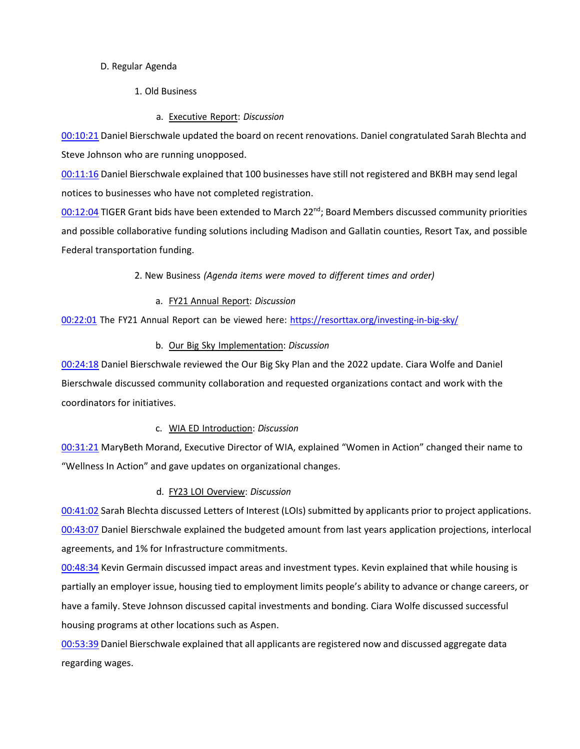#### D. Regular Agenda

- 1. Old Business
	- a. Executive Report: *Discussion*

00:10:21 Daniel Bierschwale updated the board on recent renovations. Daniel congratulated Sarah Blechta and Steve Johnson who are running unopposed.

00:11:16 Daniel Bierschwale explained that 100 businesses have still not registered and BKBH may send legal notices to businesses who have not completed registration.

00:12:04 TIGER Grant bids have been extended to March 22<sup>nd</sup>; Board Members discussed community priorities and possible collaborative funding solutions including Madison and Gallatin counties, Resort Tax, and possible Federal transportation funding.

2. New Business *(Agenda items were moved to different times and order)*

# a. FY21 Annual Report: *Discussion*

00:22:01 The FY21 Annual Report can be viewed here: <https://resorttax.org/investing-in-big-sky/>

# b. Our Big Sky Implementation: *Discussion*

00:24:18 Daniel Bierschwale reviewed the Our Big Sky Plan and the 2022 update. Ciara Wolfe and Daniel Bierschwale discussed community collaboration and requested organizations contact and work with the coordinators for initiatives.

## c. WIA ED Introduction: *Discussion*

00:31:21 MaryBeth Morand, Executive Director of WIA, explained "Women in Action" changed their name to "Wellness In Action" and gave updates on organizational changes.

## d. FY23 LOI Overview: *Discussion*

00:41:02 Sarah Blechta discussed Letters of Interest (LOIs) submitted by applicants prior to project applications. 00:43:07 Daniel Bierschwale explained the budgeted amount from last years application projections, interlocal agreements, and 1% for Infrastructure commitments.

00:48:34 Kevin Germain discussed impact areas and investment types. Kevin explained that while housing is partially an employer issue, housing tied to employment limits people's ability to advance or change careers, or have a family. Steve Johnson discussed capital investments and bonding. Ciara Wolfe discussed successful housing programs at other locations such as Aspen.

00:53:39 Daniel Bierschwale explained that all applicants are registered now and discussed aggregate data regarding wages.